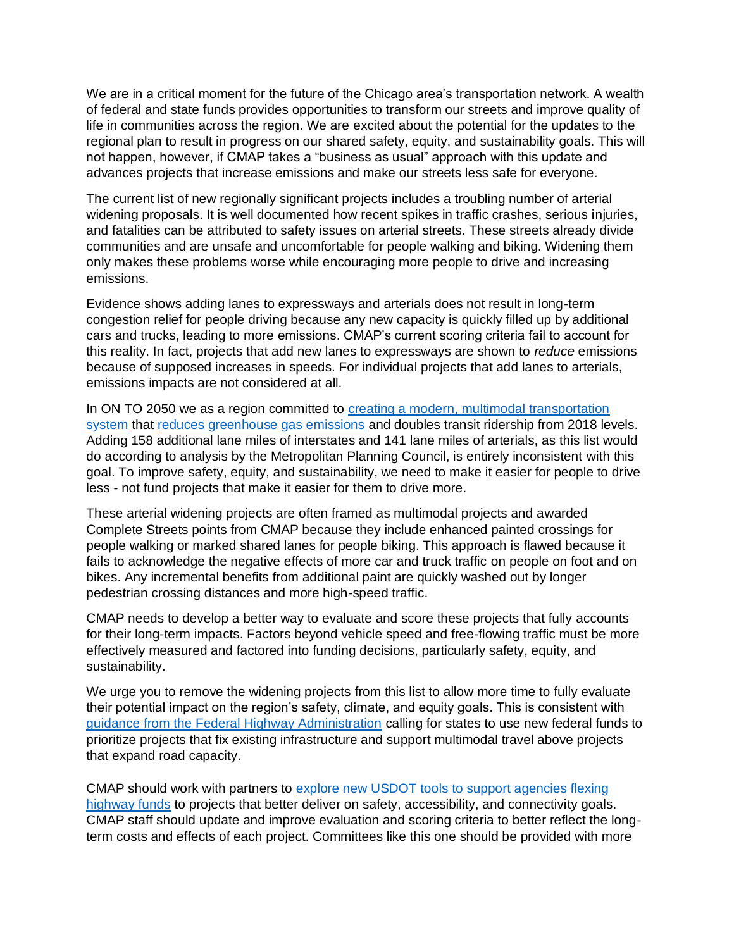We are in a critical moment for the future of the Chicago area's transportation network. A wealth of federal and state funds provides opportunities to transform our streets and improve quality of life in communities across the region. We are excited about the potential for the updates to the regional plan to result in progress on our shared safety, equity, and sustainability goals. This will not happen, however, if CMAP takes a "business as usual" approach with this update and advances projects that increase emissions and make our streets less safe for everyone.

The current list of new regionally significant projects includes a troubling number of arterial widening proposals. It is well documented how recent spikes in traffic crashes, serious injuries, and fatalities can be attributed to safety issues on arterial streets. These streets already divide communities and are unsafe and uncomfortable for people walking and biking. Widening them only makes these problems worse while encouraging more people to drive and increasing emissions.

Evidence shows adding lanes to expressways and arterials does not result in long-term congestion relief for people driving because any new capacity is quickly filled up by additional cars and trucks, leading to more emissions. CMAP's current scoring criteria fail to account for this reality. In fact, projects that add new lanes to expressways are shown to *reduce* emissions because of supposed increases in speeds. For individual projects that add lanes to arterials, emissions impacts are not considered at all.

In ON TO 2050 we as a region committed to [creating a modern, multimodal transportation](https://www.cmap.illinois.gov/2050/mobility)  [system](https://www.cmap.illinois.gov/2050/mobility) that [reduces greenhouse gas emissions](https://www.cmap.illinois.gov/2050/environment) and doubles transit ridership from 2018 levels. Adding 158 additional lane miles of interstates and 141 lane miles of arterials, as this list would do according to analysis by the Metropolitan Planning Council, is entirely inconsistent with this goal. To improve safety, equity, and sustainability, we need to make it easier for people to drive less - not fund projects that make it easier for them to drive more.

These arterial widening projects are often framed as multimodal projects and awarded Complete Streets points from CMAP because they include enhanced painted crossings for people walking or marked shared lanes for people biking. This approach is flawed because it fails to acknowledge the negative effects of more car and truck traffic on people on foot and on bikes. Any incremental benefits from additional paint are quickly washed out by longer pedestrian crossing distances and more high-speed traffic.

CMAP needs to develop a better way to evaluate and score these projects that fully accounts for their long-term impacts. Factors beyond vehicle speed and free-flowing traffic must be more effectively measured and factored into funding decisions, particularly safety, equity, and sustainability.

We urge you to remove the widening projects from this list to allow more time to fully evaluate their potential impact on the region's safety, climate, and equity goals. This is consistent with [guidance from the Federal Highway Administration](https://www.fhwa.dot.gov/bipartisan-infrastructure-law/building_a_better_america-policy_framework.cfm) calling for states to use new federal funds to prioritize projects that fix existing infrastructure and support multimodal travel above projects that expand road capacity.

CMAP should work with partners to [explore new USDOT tools to support agencies flexing](https://www.planning.dot.gov/flex.aspx)  [highway funds](https://www.planning.dot.gov/flex.aspx) to projects that better deliver on safety, accessibility, and connectivity goals. CMAP staff should update and improve evaluation and scoring criteria to better reflect the longterm costs and effects of each project. Committees like this one should be provided with more